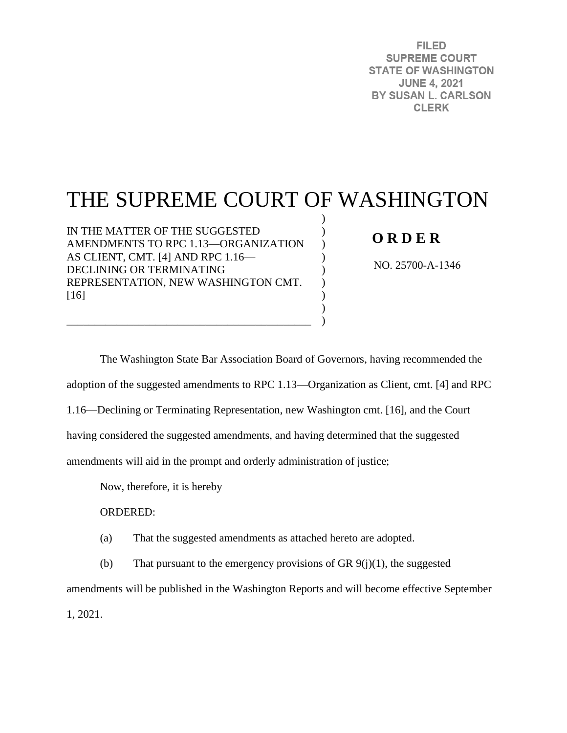**FILED SUPREME COURT STATE OF WASHINGTON JUNE 4, 2021** BY SUSAN L. CARLSON **CLERK** 

# THE SUPREME COURT OF WASHINGTON

) )  $\mathcal{L}$  $\mathcal{L}$ )  $\mathcal{L}$ ) ) )

IN THE MATTER OF THE SUGGESTED AMENDMENTS TO RPC 1.13—ORGANIZATION AS CLIENT, CMT. [4] AND RPC 1.16— DECLINING OR TERMINATING REPRESENTATION, NEW WASHINGTON CMT. [16]

\_\_\_\_\_\_\_\_\_\_\_\_\_\_\_\_\_\_\_\_\_\_\_\_\_\_\_\_\_\_\_\_\_\_\_\_\_\_\_\_\_\_\_\_

# **O R D E R**

NO. 25700-A-1346

The Washington State Bar Association Board of Governors, having recommended the adoption of the suggested amendments to RPC 1.13—Organization as Client, cmt. [4] and RPC 1.16—Declining or Terminating Representation, new Washington cmt. [16], and the Court having considered the suggested amendments, and having determined that the suggested amendments will aid in the prompt and orderly administration of justice;

Now, therefore, it is hereby

ORDERED:

(a) That the suggested amendments as attached hereto are adopted.

(b) That pursuant to the emergency provisions of GR  $9(j)(1)$ , the suggested

amendments will be published in the Washington Reports and will become effective September

1, 2021.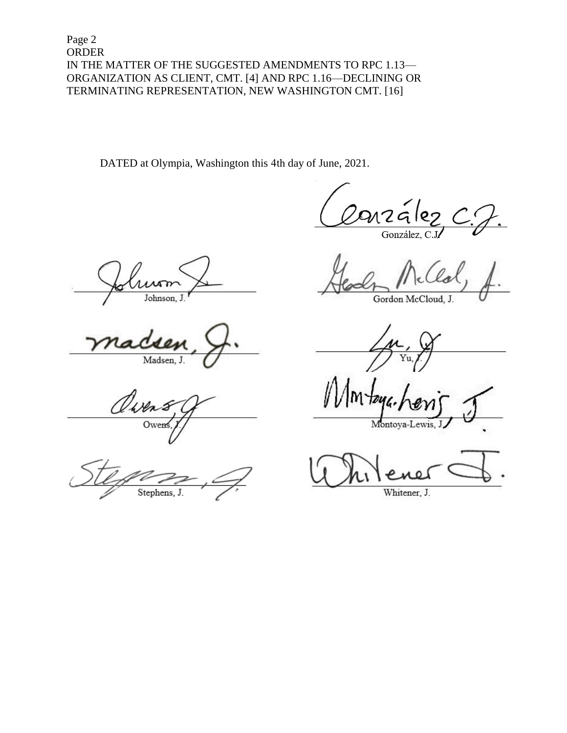Page 2 **ORDER** IN THE MATTER OF THE SUGGESTED AMENDMENTS TO RPC 1.13-ORGANIZATION AS CLIENT, CMT. [4] AND RPC 1.16-DECLINING OR TERMINATING REPRESENTATION, NEW WASHINGTON CMT. [16]

DATED at Olympia, Washington this 4th day of June, 2021.

 $217G$ 

González, C

 $\lambda$ Johnson, J.

Madsen, J.

Owen

Stephens, J.

Gordon McCloud, J.

Montoya-Lewis, J

Whitener, J.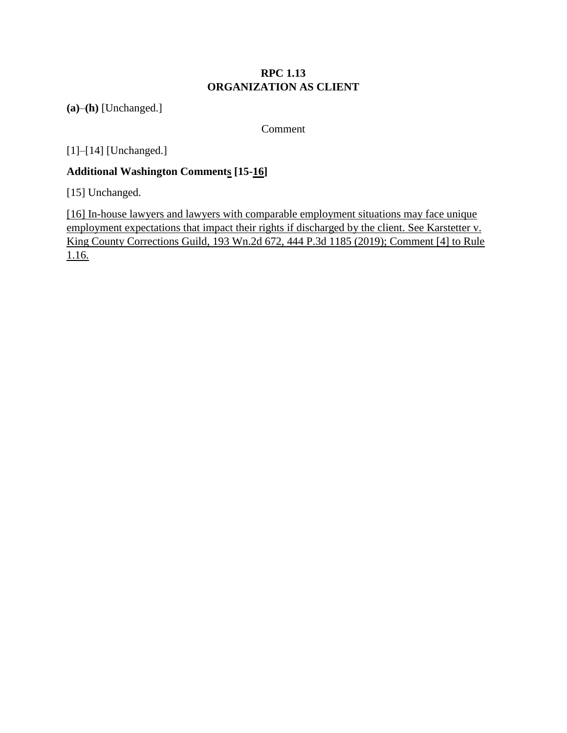## **RPC 1.13 ORGANIZATION AS CLIENT**

**(a)**–**(h)** [Unchanged.]

Comment

[1]–[14] [Unchanged.]

## **Additional Washington Comments [15-16]**

[15] Unchanged.

[16] In-house lawyers and lawyers with comparable employment situations may face unique employment expectations that impact their rights if discharged by the client. See Karstetter v. King County Corrections Guild, 193 Wn.2d 672, 444 P.3d 1185 (2019); Comment [4] to Rule 1.16.